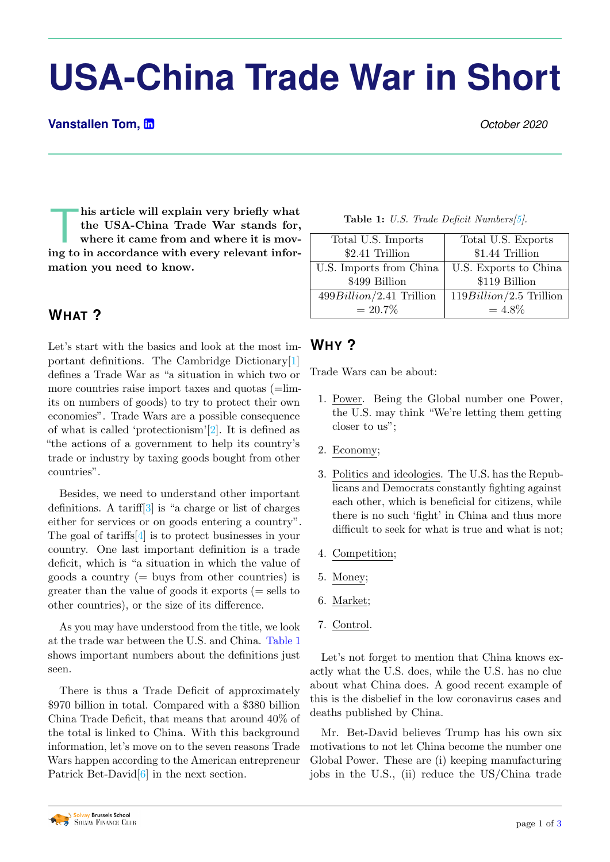# **USA-China Trade War in Short**

#### **Vanstallen Tom, in** *October 2020*

his article will explain very briefly what<br>the USA-China Trade War stands for,<br>where it came from and where it is mov-<br>ing to in accordance with every relevant inforhis article will explain very briefly what the USA-China Trade War stands for, where it came from and where it is movmation you need to know.

# **WHAT ?**

Let's start with the basics and look at the most important definitions. The Cambridge Dictionary[\[1\]](#page-1-0) defines a Trade War as "a situation in which two or more countries raise import taxes and quotas (=limits on numbers of goods) to try to protect their own economies". Trade Wars are a possible consequence of what is called 'protectionism'[\[2\]](#page-1-1). It is defined as "the actions of a government to help its country's trade or industry by taxing goods bought from other countries".

Besides, we need to understand other important definitions. A tariff<sup>[\[3\]](#page-1-2)</sup> is "a charge or list of charges either for services or on goods entering a country". The goal of tariffs[\[4\]](#page-1-3) is to protect businesses in your country. One last important definition is a trade deficit, which is "a situation in which the value of goods a country  $(=\text{buvs from other countries})$  is greater than the value of goods it exports  $(=$  sells to other countries), or the size of its difference.

As you may have understood from the title, we look at the trade war between the U.S. and China. [Table 1](#page-0-0) shows important numbers about the definitions just seen.

There is thus a Trade Deficit of approximately \$970 billion in total. Compared with a \$380 billion China Trade Deficit, that means that around 40% of the total is linked to China. With this background information, let's move on to the seven reasons Trade Wars happen according to the American entrepreneur Patrick Bet-David<sup>[\[6\]](#page-2-0)</sup> in the next section.

Table 1: U.S. Trade Deficit Numbers[\[5\]](#page-2-1).

<span id="page-0-0"></span>

| Total U.S. Imports         | Total U.S. Exports        |
|----------------------------|---------------------------|
| \$2.41 Trillion            | \$1.44 Trillion           |
| U.S. Imports from China    | U.S. Exports to China     |
| \$499 Billion              | \$119 Billion             |
| $499Billion/2.41$ Trillion | $119Billion/2.5$ Trillion |
| $= 20.7\%$                 | $=4.8\%$                  |

# **WHY ?**

Trade Wars can be about:

- 1. Power. Being the Global number one Power, the U.S. may think "We're letting them getting closer to us";
- 2. Economy;
- 3. Politics and ideologies. The U.S. has the Republicans and Democrats constantly fighting against each other, which is beneficial for citizens, while there is no such 'fight' in China and thus more difficult to seek for what is true and what is not;
- 4. Competition;
- 5. Money;
- 6. Market;
- 7. Control.

Let's not forget to mention that China knows exactly what the U.S. does, while the U.S. has no clue about what China does. A good recent example of this is the disbelief in the low coronavirus cases and deaths published by China.

Mr. Bet-David believes Trump has his own six motivations to not let China become the number one Global Power. These are (i) keeping manufacturing jobs in the U.S., (ii) reduce the US/China trade

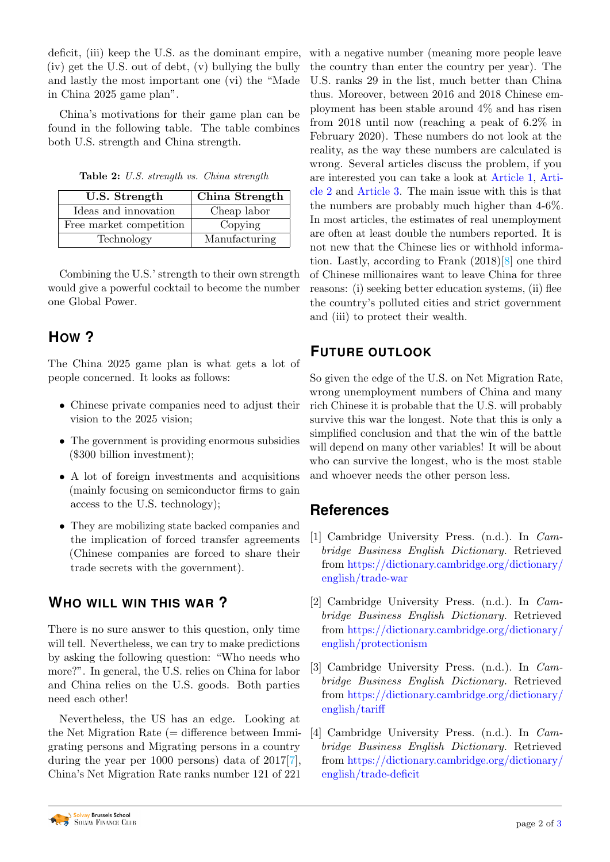deficit, (iii) keep the U.S. as the dominant empire, (iv) get the U.S. out of debt, (v) bullying the bully and lastly the most important one (vi) the "Made in China 2025 game plan".

China's motivations for their game plan can be found in the following table. The table combines both U.S. strength and China strength.

| Table 2: U.S. strength vs. China strength |  |  |  |  |  |
|-------------------------------------------|--|--|--|--|--|
|-------------------------------------------|--|--|--|--|--|

| U.S. Strength           | China Strength |  |  |
|-------------------------|----------------|--|--|
| Ideas and innovation    | Cheap labor    |  |  |
| Free market competition | Copying        |  |  |
| Technology              | Manufacturing  |  |  |

Combining the U.S.' strength to their own strength would give a powerful cocktail to become the number one Global Power.

# **HOW ?**

The China 2025 game plan is what gets a lot of people concerned. It looks as follows:

- Chinese private companies need to adjust their vision to the 2025 vision;
- The government is providing enormous subsidies (\$300 billion investment);
- A lot of foreign investments and acquisitions (mainly focusing on semiconductor firms to gain access to the U.S. technology);
- They are mobilizing state backed companies and the implication of forced transfer agreements (Chinese companies are forced to share their trade secrets with the government).

# **WHO WILL WIN THIS WAR ?**

There is no sure answer to this question, only time will tell. Nevertheless, we can try to make predictions by asking the following question: "Who needs who more?". In general, the U.S. relies on China for labor and China relies on the U.S. goods. Both parties need each other!

Nevertheless, the US has an edge. Looking at the Net Migration Rate  $(=$  difference between Immigrating persons and Migrating persons in a country during the year per 1000 persons) data of 2017[\[7\]](#page-2-3), China's Net Migration Rate ranks number 121 of 221

with a negative number (meaning more people leave the country than enter the country per year). The U.S. ranks 29 in the list, much better than China thus. Moreover, between 2016 and 2018 Chinese employment has been stable around 4% and has risen from 2018 until now (reaching a peak of 6.2% in February 2020). These numbers do not look at the reality, as the way these numbers are calculated is wrong. Several articles discuss the problem, if you are interested you can take a look at [Article 1,](https://www.livemint.com/Opinion/nYB7wZENRJ2gYZGTTHIL3M/The-truth-about-Chinese-unemployment.html) [Arti](https://fortune.com/2020/05/24/china-unemployment-rate-2/)[cle 2](https://fortune.com/2020/05/24/china-unemployment-rate-2/) and [Article 3.](https://www.nber.org/digest/oct15/official-statistics-understate-chinese-unemployment-rate) The main issue with this is that the numbers are probably much higher than 4-6%. In most articles, the estimates of real unemployment are often at least double the numbers reported. It is not new that the Chinese lies or withhold information. Lastly, according to Frank (2018)[\[8\]](#page-2-4) one third of Chinese millionaires want to leave China for three reasons: (i) seeking better education systems, (ii) flee the country's polluted cities and strict government and (iii) to protect their wealth.

# **FUTURE OUTLOOK**

So given the edge of the U.S. on Net Migration Rate, wrong unemployment numbers of China and many rich Chinese it is probable that the U.S. will probably survive this war the longest. Note that this is only a simplified conclusion and that the win of the battle will depend on many other variables! It will be about who can survive the longest, who is the most stable and whoever needs the other person less.

# **References**

- <span id="page-1-0"></span>[1] Cambridge University Press. (n.d.). In Cambridge Business English Dictionary. Retrieved from [https://dictionary.cambridge.org/dictionary/](https://dictionary.cambridge.org/dictionary/english/trade-war) [english/trade-war](https://dictionary.cambridge.org/dictionary/english/trade-war)
- <span id="page-1-1"></span>[2] Cambridge University Press. (n.d.). In Cambridge Business English Dictionary. Retrieved from [https://dictionary.cambridge.org/dictionary/](https://dictionary.cambridge.org/dictionary/english/protectionism) [english/protectionism](https://dictionary.cambridge.org/dictionary/english/protectionism)
- <span id="page-1-2"></span>[3] Cambridge University Press. (n.d.). In Cambridge Business English Dictionary. Retrieved from [https://dictionary.cambridge.org/dictionary/](https://dictionary.cambridge.org/dictionary/english/tariff) [english/tariff](https://dictionary.cambridge.org/dictionary/english/tariff)
- <span id="page-1-3"></span>[4] Cambridge University Press. (n.d.). In Cambridge Business English Dictionary. Retrieved from [https://dictionary.cambridge.org/dictionary/](https://dictionary.cambridge.org/dictionary/english/trade-deficit) [english/trade-deficit](https://dictionary.cambridge.org/dictionary/english/trade-deficit)